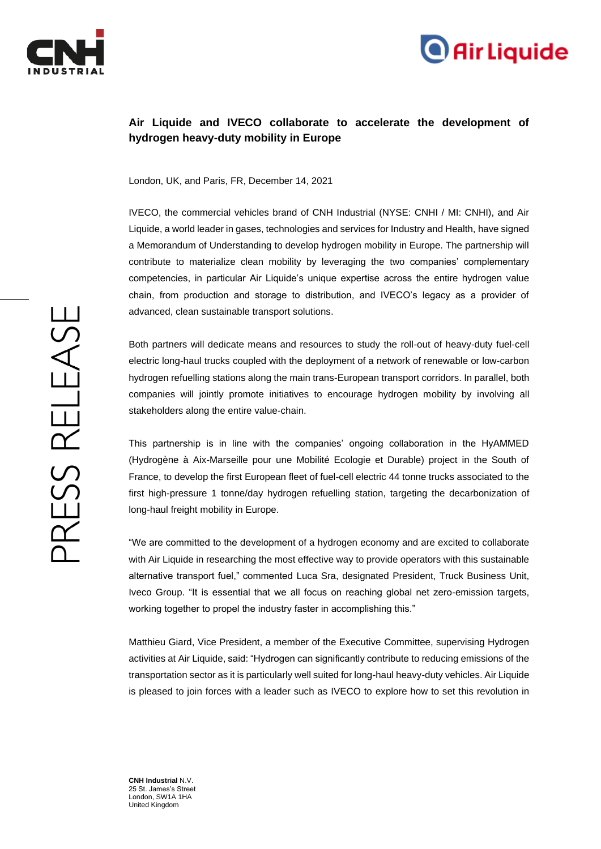



## **Air Liquide and IVECO collaborate to accelerate the development of hydrogen heavy-duty mobility in Europe**

London, UK, and Paris, FR, December 14, 2021

IVECO, the commercial vehicles brand of CNH Industrial (NYSE: CNHI / MI: CNHI), and Air Liquide, a world leader in gases, technologies and services for Industry and Health, have signed a Memorandum of Understanding to develop hydrogen mobility in Europe. The partnership will contribute to materialize clean mobility by leveraging the two companies' complementary competencies, in particular Air Liquide's unique expertise across the entire hydrogen value chain, from production and storage to distribution, and IVECO's legacy as a provider of advanced, clean sustainable transport solutions.

Both partners will dedicate means and resources to study the roll-out of heavy-duty fuel-cell electric long-haul trucks coupled with the deployment of a network of renewable or low-carbon hydrogen refuelling stations along the main trans-European transport corridors. In parallel, both companies will jointly promote initiatives to encourage hydrogen mobility by involving all stakeholders along the entire value-chain.

This partnership is in line with the companies' ongoing collaboration in the HyAMMED (Hydrogène à Aix-Marseille pour une Mobilité Ecologie et Durable) project in the South of France, to develop the first European fleet of fuel-cell electric 44 tonne trucks associated to the first high-pressure 1 tonne/day hydrogen refuelling station, targeting the decarbonization of long-haul freight mobility in Europe.

"We are committed to the development of a hydrogen economy and are excited to collaborate with Air Liquide in researching the most effective way to provide operators with this sustainable alternative transport fuel," commented Luca Sra, designated President, Truck Business Unit, Iveco Group. "It is essential that we all focus on reaching global net zero-emission targets, working together to propel the industry faster in accomplishing this."

Matthieu Giard, Vice President, a member of the Executive Committee, supervising Hydrogen activities at Air Liquide, said: "Hydrogen can significantly contribute to reducing emissions of the transportation sector as it is particularly well suited for long-haul heavy-duty vehicles. Air Liquide is pleased to join forces with a leader such as IVECO to explore how to set this revolution in

**CNH Industrial** N.V. 25 St. James's Street London, SW1A 1HA United Kingdom